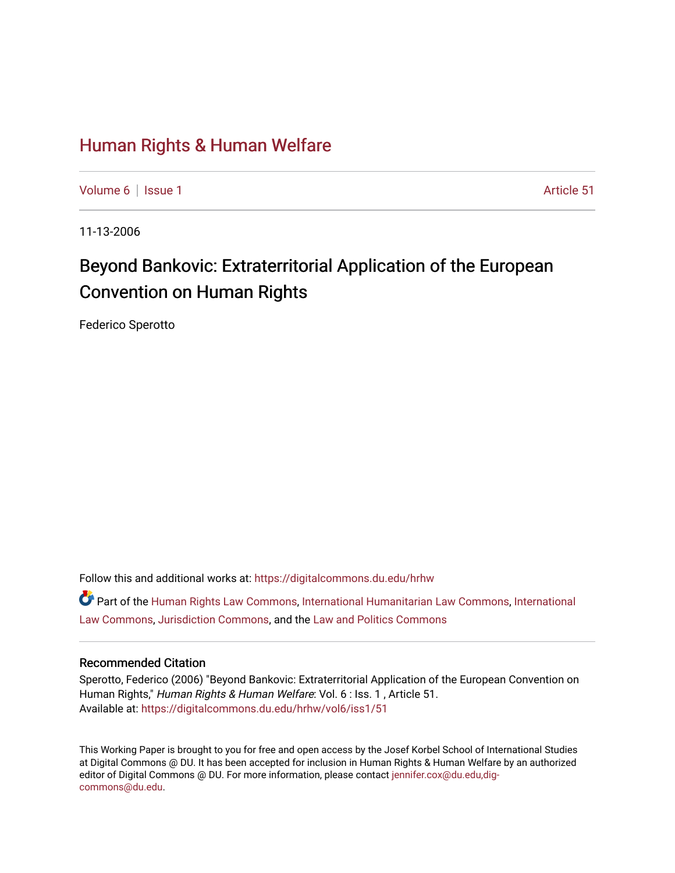## [Human Rights & Human Welfare](https://digitalcommons.du.edu/hrhw)

[Volume 6](https://digitalcommons.du.edu/hrhw/vol6) | [Issue 1](https://digitalcommons.du.edu/hrhw/vol6/iss1) Article 51

11-13-2006

# Beyond Bankovic: Extraterritorial Application of the European Convention on Human Rights

Federico Sperotto

Follow this and additional works at: [https://digitalcommons.du.edu/hrhw](https://digitalcommons.du.edu/hrhw?utm_source=digitalcommons.du.edu%2Fhrhw%2Fvol6%2Fiss1%2F51&utm_medium=PDF&utm_campaign=PDFCoverPages)

Part of the [Human Rights Law Commons,](http://network.bepress.com/hgg/discipline/847?utm_source=digitalcommons.du.edu%2Fhrhw%2Fvol6%2Fiss1%2F51&utm_medium=PDF&utm_campaign=PDFCoverPages) [International Humanitarian Law Commons](http://network.bepress.com/hgg/discipline/1330?utm_source=digitalcommons.du.edu%2Fhrhw%2Fvol6%2Fiss1%2F51&utm_medium=PDF&utm_campaign=PDFCoverPages), [International](http://network.bepress.com/hgg/discipline/609?utm_source=digitalcommons.du.edu%2Fhrhw%2Fvol6%2Fiss1%2F51&utm_medium=PDF&utm_campaign=PDFCoverPages) [Law Commons,](http://network.bepress.com/hgg/discipline/609?utm_source=digitalcommons.du.edu%2Fhrhw%2Fvol6%2Fiss1%2F51&utm_medium=PDF&utm_campaign=PDFCoverPages) [Jurisdiction Commons](http://network.bepress.com/hgg/discipline/850?utm_source=digitalcommons.du.edu%2Fhrhw%2Fvol6%2Fiss1%2F51&utm_medium=PDF&utm_campaign=PDFCoverPages), and the [Law and Politics Commons](http://network.bepress.com/hgg/discipline/867?utm_source=digitalcommons.du.edu%2Fhrhw%2Fvol6%2Fiss1%2F51&utm_medium=PDF&utm_campaign=PDFCoverPages) 

#### Recommended Citation

Sperotto, Federico (2006) "Beyond Bankovic: Extraterritorial Application of the European Convention on Human Rights," Human Rights & Human Welfare: Vol. 6 : Iss. 1, Article 51. Available at: [https://digitalcommons.du.edu/hrhw/vol6/iss1/51](https://digitalcommons.du.edu/hrhw/vol6/iss1/51?utm_source=digitalcommons.du.edu%2Fhrhw%2Fvol6%2Fiss1%2F51&utm_medium=PDF&utm_campaign=PDFCoverPages) 

This Working Paper is brought to you for free and open access by the Josef Korbel School of International Studies at Digital Commons @ DU. It has been accepted for inclusion in Human Rights & Human Welfare by an authorized editor of Digital Commons @ DU. For more information, please contact [jennifer.cox@du.edu,dig](mailto:jennifer.cox@du.edu,dig-commons@du.edu)[commons@du.edu.](mailto:jennifer.cox@du.edu,dig-commons@du.edu)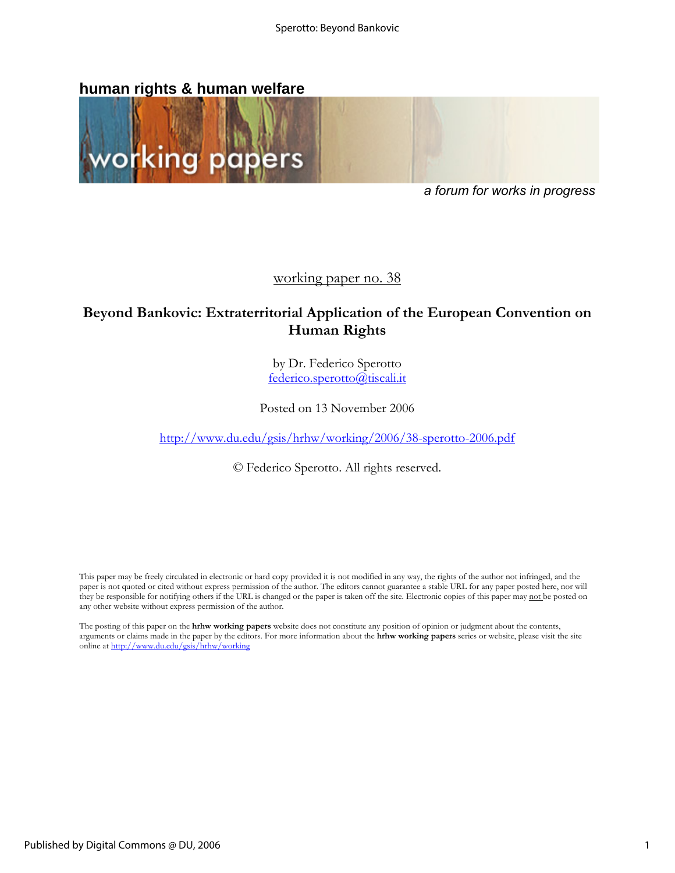## **human rights & human welfare**



*a forum for works in progress* 

working paper no. 38

## **Beyond Bankovic: Extraterritorial Application of the European Convention on Human Rights**

by Dr. Federico Sperotto federico.sperotto@tiscali.it

Posted on 13 November 2006

http://www.du.edu/gsis/hrhw/working/2006/38-sperotto-2006.pdf

© Federico Sperotto. All rights reserved.

This paper may be freely circulated in electronic or hard copy provided it is not modified in any way, the rights of the author not infringed, and the paper is not quoted or cited without express permission of the author. The editors cannot guarantee a stable URL for any paper posted here, nor will they be responsible for notifying others if the URL is changed or the paper is taken off the site. Electronic copies of this paper may not be posted on any other website without express permission of the author.

The posting of this paper on the **hrhw working papers** website does not constitute any position of opinion or judgment about the contents, arguments or claims made in the paper by the editors. For more information about the **hrhw working papers** series or website, please visit the site online at http://www.du.edu/gsis/hrhw/working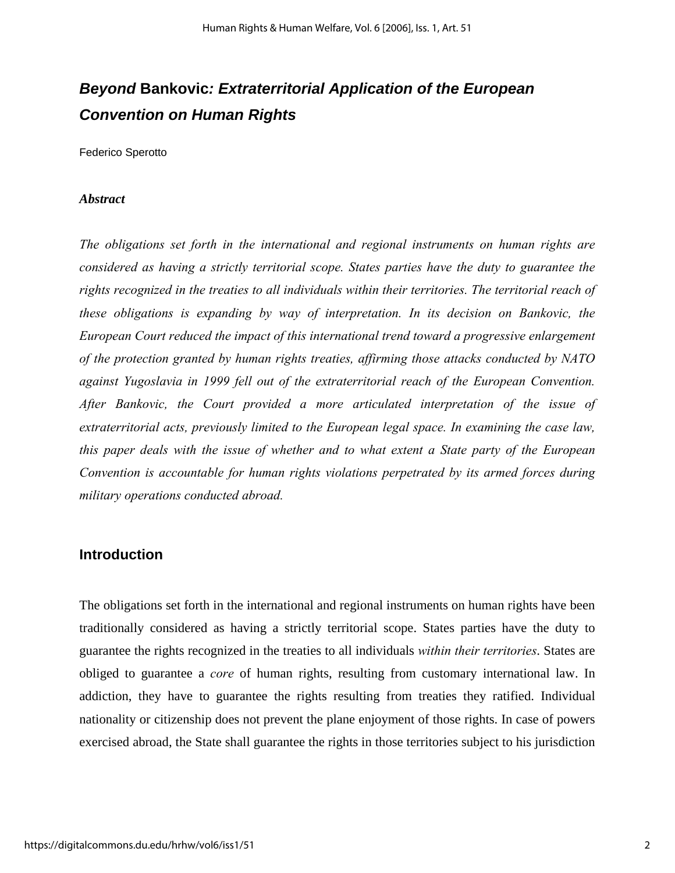## *Beyond* **Bankovic***: Extraterritorial Application of the European Convention on Human Rights*

Federico Sperotto

#### *Abstract*

*The obligations set forth in the international and regional instruments on human rights are considered as having a strictly territorial scope. States parties have the duty to guarantee the rights recognized in the treaties to all individuals within their territories. The territorial reach of these obligations is expanding by way of interpretation. In its decision on Bankovic, the European Court reduced the impact of this international trend toward a progressive enlargement of the protection granted by human rights treaties, affirming those attacks conducted by NATO against Yugoslavia in 1999 fell out of the extraterritorial reach of the European Convention. After Bankovic, the Court provided a more articulated interpretation of the issue of extraterritorial acts, previously limited to the European legal space. In examining the case law, this paper deals with the issue of whether and to what extent a State party of the European Convention is accountable for human rights violations perpetrated by its armed forces during military operations conducted abroad.* 

## **Introduction**

The obligations set forth in the international and regional instruments on human rights have been traditionally considered as having a strictly territorial scope. States parties have the duty to guarantee the rights recognized in the treaties to all individuals *within their territories*. States are obliged to guarantee a *core* of human rights, resulting from customary international law. In addiction, they have to guarantee the rights resulting from treaties they ratified. Individual nationality or citizenship does not prevent the plane enjoyment of those rights. In case of powers exercised abroad, the State shall guarantee the rights in those territories subject to his jurisdiction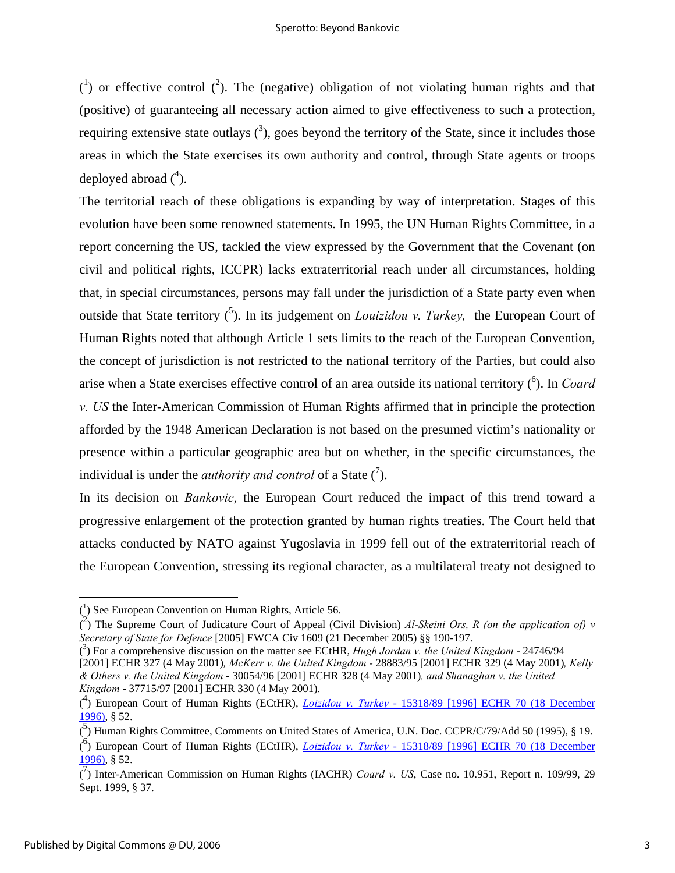$(1)$  or effective control  $(2)$ . The (negative) obligation of not violating human rights and that (positive) of guaranteeing all necessary action aimed to give effectiveness to such a protection, requiring extensive state outlays  $(3)$ , goes beyond the territory of the State, since it includes those areas in which the State exercises its own authority and control, through State agents or troops deployed abroad  $(^4)$ .

The territorial reach of these obligations is expanding by way of interpretation. Stages of this evolution have been some renowned statements. In 1995, the UN Human Rights Committee, in a report concerning the US, tackled the view expressed by the Government that the Covenant (on civil and political rights, ICCPR) lacks extraterritorial reach under all circumstances, holding that, in special circumstances, persons may fall under the jurisdiction of a State party even when outside that State territory <sup>(5</sup>). In its judgement on *Louizidou v. Turkey*, the European Court of Human Rights noted that although Article 1 sets limits to the reach of the European Convention, the concept of jurisdiction is not restricted to the national territory of the Parties, but could also arise when a State exercises effective control of an area outside its national territory <sup>(6</sup>). In *Coard v. US* the Inter-American Commission of Human Rights affirmed that in principle the protection afforded by the 1948 American Declaration is not based on the presumed victim's nationality or presence within a particular geographic area but on whether, in the specific circumstances, the individual is under the *authority and control* of a State  $\binom{7}{1}$ .

In its decision on *Bankovic*, the European Court reduced the impact of this trend toward a progressive enlargement of the protection granted by human rights treaties. The Court held that attacks conducted by NATO against Yugoslavia in 1999 fell out of the extraterritorial reach of the European Convention, stressing its regional character, as a multilateral treaty not designed to

1

<sup>(</sup> 1 ) See European Convention on Human Rights, Article 56.

 $\binom{2}{k}$  The Supreme Court of Judicature Court of Appeal (Civil Division) *Al-Skeini Ors, R (on the application of) v Secretary of State for Defence* [2005] EWCA Civ 1609 (21 December 2005) §§ 190-197.

<sup>(</sup> 3 ) For a comprehensive discussion on the matter see ECtHR, *Hugh Jordan v. the United Kingdom -* 24746/94 [2001] ECHR 327 (4 May 2001)*, McKerr v. the United Kingdom -* 28883/95 [2001] ECHR 329 (4 May 2001)*, Kelly & Others v. the United Kingdom* - 30054/96 [2001] ECHR 328 (4 May 2001)*, and Shanaghan v. the United Kingdom* - 37715/97 [2001] ECHR 330 (4 May 2001).

<sup>(</sup> 4 ) European Court of Human Rights (ECtHR), *Loizidou v. Turkey* - 15318/89 [1996] ECHR 70 (18 December 1996), § 52.

 $\overline{(\overline{5})}$  Human Rights Committee, Comments on United States of America, U.N. Doc. CCPR/C/79/Add 50 (1995), § 19.

<sup>(</sup> 6 ) European Court of Human Rights (ECtHR), *Loizidou v. Turkey* - 15318/89 [1996] ECHR 70 (18 December 1996), § 52.

<sup>(</sup> 7 ) Inter-American Commission on Human Rights (IACHR) *Coard v. US*, Case no. 10.951, Report n. 109/99, 29 Sept. 1999, § 37.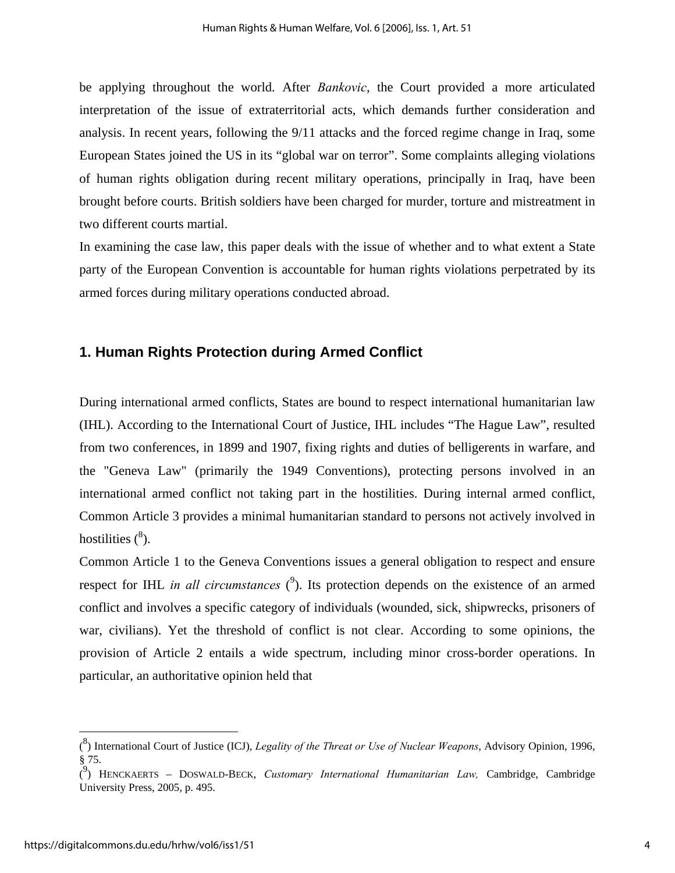be applying throughout the world. After *Bankovic*, the Court provided a more articulated interpretation of the issue of extraterritorial acts, which demands further consideration and analysis. In recent years, following the 9/11 attacks and the forced regime change in Iraq, some European States joined the US in its "global war on terror". Some complaints alleging violations of human rights obligation during recent military operations, principally in Iraq, have been brought before courts. British soldiers have been charged for murder, torture and mistreatment in two different courts martial.

In examining the case law, this paper deals with the issue of whether and to what extent a State party of the European Convention is accountable for human rights violations perpetrated by its armed forces during military operations conducted abroad.

## **1. Human Rights Protection during Armed Conflict**

During international armed conflicts, States are bound to respect international humanitarian law (IHL). According to the International Court of Justice, IHL includes "The Hague Law", resulted from two conferences, in 1899 and 1907, fixing rights and duties of belligerents in warfare, and the "Geneva Law" (primarily the 1949 Conventions), protecting persons involved in an international armed conflict not taking part in the hostilities. During internal armed conflict, Common Article 3 provides a minimal humanitarian standard to persons not actively involved in hostilities  $(^8)$ .

Common Article 1 to the Geneva Conventions issues a general obligation to respect and ensure respect for IHL *in all circumstances*  $(^9)$ . Its protection depends on the existence of an armed conflict and involves a specific category of individuals (wounded, sick, shipwrecks, prisoners of war, civilians). Yet the threshold of conflict is not clear. According to some opinions, the provision of Article 2 entails a wide spectrum, including minor cross-border operations. In particular, an authoritative opinion held that

<u>.</u>

<sup>(</sup> 8 ) International Court of Justice (ICJ), *Legality of the Threat or Use of Nuclear Weapons*, Advisory Opinion, 1996, § 75.

<sup>(</sup> 9 ) HENCKAERTS – DOSWALD-BECK, *Customary International Humanitarian Law,* Cambridge, Cambridge University Press, 2005, p. 495.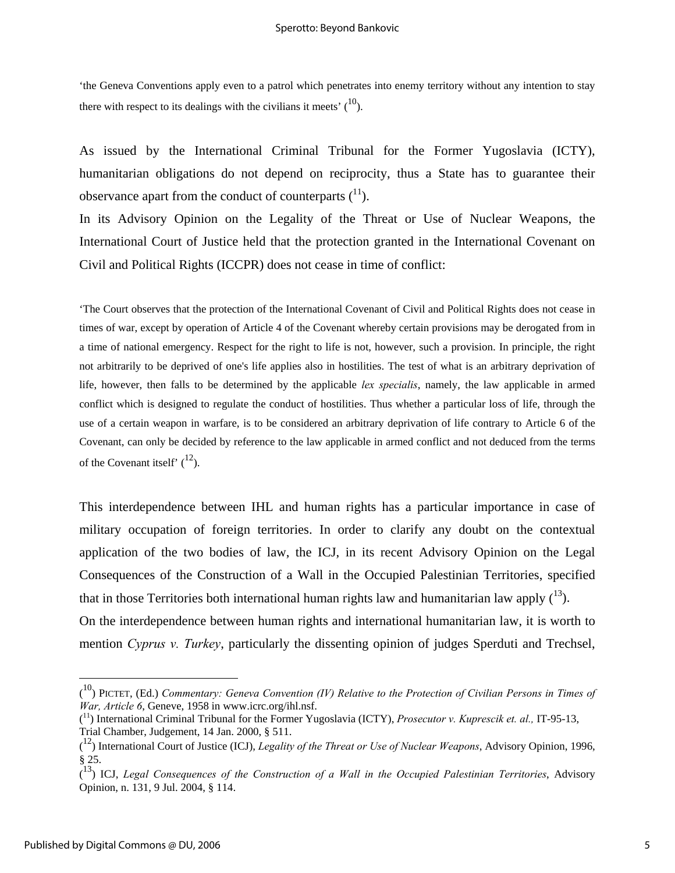'the Geneva Conventions apply even to a patrol which penetrates into enemy territory without any intention to stay there with respect to its dealings with the civilians it meets'  $(10)$ .

As issued by the International Criminal Tribunal for the Former Yugoslavia (ICTY), humanitarian obligations do not depend on reciprocity, thus a State has to guarantee their observance apart from the conduct of counterparts  $(1)$ .

In its Advisory Opinion on the Legality of the Threat or Use of Nuclear Weapons, the International Court of Justice held that the protection granted in the International Covenant on Civil and Political Rights (ICCPR) does not cease in time of conflict:

'The Court observes that the protection of the International Covenant of Civil and Political Rights does not cease in times of war, except by operation of Article 4 of the Covenant whereby certain provisions may be derogated from in a time of national emergency. Respect for the right to life is not, however, such a provision. In principle, the right not arbitrarily to be deprived of one's life applies also in hostilities. The test of what is an arbitrary deprivation of life, however, then falls to be determined by the applicable *lex specialis*, namely, the law applicable in armed conflict which is designed to regulate the conduct of hostilities. Thus whether a particular loss of life, through the use of a certain weapon in warfare, is to be considered an arbitrary deprivation of life contrary to Article 6 of the Covenant, can only be decided by reference to the law applicable in armed conflict and not deduced from the terms of the Covenant itself'  $\binom{12}{1}$ .

This interdependence between IHL and human rights has a particular importance in case of military occupation of foreign territories. In order to clarify any doubt on the contextual application of the two bodies of law, the ICJ, in its recent Advisory Opinion on the Legal Consequences of the Construction of a Wall in the Occupied Palestinian Territories, specified that in those Territories both international human rights law and humanitarian law apply  $(^{13})$ . On the interdependence between human rights and international humanitarian law, it is worth to mention *Cyprus v. Turkey*, particularly the dissenting opinion of judges Sperduti and Trechsel,

<u>.</u>

<sup>(</sup> 10) PICTET, (Ed.) *Commentary: Geneva Convention (IV) Relative to the Protection of Civilian Persons in Times of War, Article 6*, Geneve, 1958 in www.icrc.org/ihl.nsf.

<sup>(</sup> 11) International Criminal Tribunal for the Former Yugoslavia (ICTY), *Prosecutor v. Kuprescik et. al.,* IT-95-13, Trial Chamber, Judgement, 14 Jan. 2000, § 511.

<sup>(</sup> 12) International Court of Justice (ICJ), *Legality of the Threat or Use of Nuclear Weapons*, Advisory Opinion, 1996, § 25.

<sup>(</sup> 13) ICJ, *Legal Consequences of the Construction of a Wall in the Occupied Palestinian Territories*, Advisory Opinion, n. 131, 9 Jul. 2004, § 114.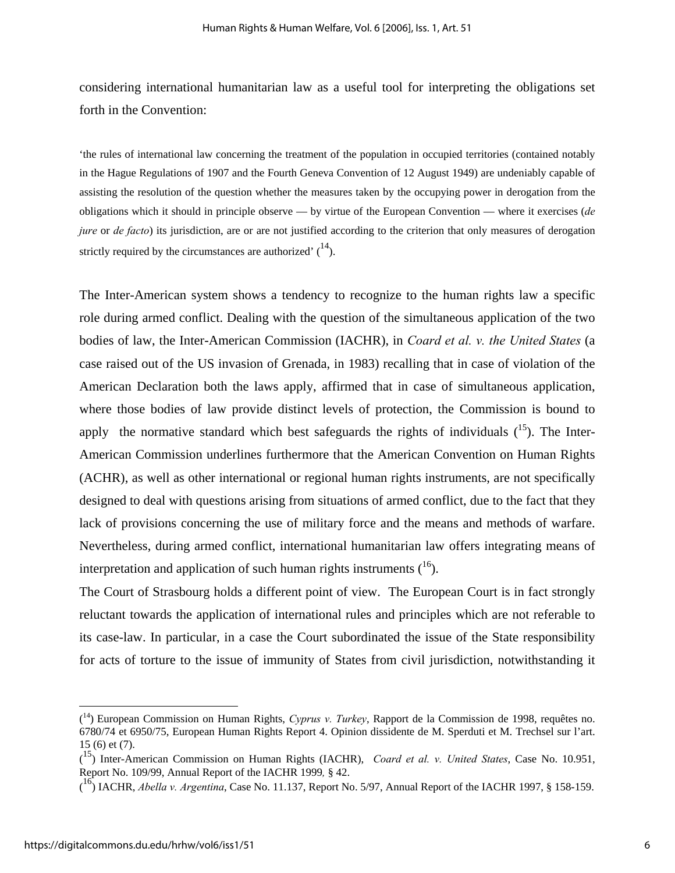considering international humanitarian law as a useful tool for interpreting the obligations set forth in the Convention:

'the rules of international law concerning the treatment of the population in occupied territories (contained notably in the Hague Regulations of 1907 and the Fourth Geneva Convention of 12 August 1949) are undeniably capable of assisting the resolution of the question whether the measures taken by the occupying power in derogation from the obligations which it should in principle observe — by virtue of the European Convention — where it exercises (*de jure* or *de facto*) its jurisdiction, are or are not justified according to the criterion that only measures of derogation strictly required by the circumstances are authorized'  $(14)$ .

The Inter-American system shows a tendency to recognize to the human rights law a specific role during armed conflict. Dealing with the question of the simultaneous application of the two bodies of law, the Inter-American Commission (IACHR), in *Coard et al. v. the United States* (a case raised out of the US invasion of Grenada, in 1983) recalling that in case of violation of the American Declaration both the laws apply, affirmed that in case of simultaneous application, where those bodies of law provide distinct levels of protection, the Commission is bound to apply the normative standard which best safeguards the rights of individuals  $(15)$ . The Inter-American Commission underlines furthermore that the American Convention on Human Rights (ACHR), as well as other international or regional human rights instruments, are not specifically designed to deal with questions arising from situations of armed conflict, due to the fact that they lack of provisions concerning the use of military force and the means and methods of warfare. Nevertheless, during armed conflict, international humanitarian law offers integrating means of interpretation and application of such human rights instruments  $(16)$ .

The Court of Strasbourg holds a different point of view. The European Court is in fact strongly reluctant towards the application of international rules and principles which are not referable to its case-law. In particular, in a case the Court subordinated the issue of the State responsibility for acts of torture to the issue of immunity of States from civil jurisdiction, notwithstanding it

<sup>(</sup> 14) European Commission on Human Rights, *Cyprus v. Turkey*, Rapport de la Commission de 1998, requêtes no. 6780/74 et 6950/75, European Human Rights Report 4. Opinion dissidente de M. Sperduti et M. Trechsel sur l'art. 15 (6) et (7).

<sup>(</sup> 15) Inter-American Commission on Human Rights (IACHR), *Coard et al. v. United States*, Case No. 10.951, Report No. 109/99, Annual Report of the IACHR 1999*,* § 42.

<sup>(</sup> 16) IACHR, *Abella v. Argentina*, Case No. 11.137, Report No. 5/97, Annual Report of the IACHR 1997, § 158-159.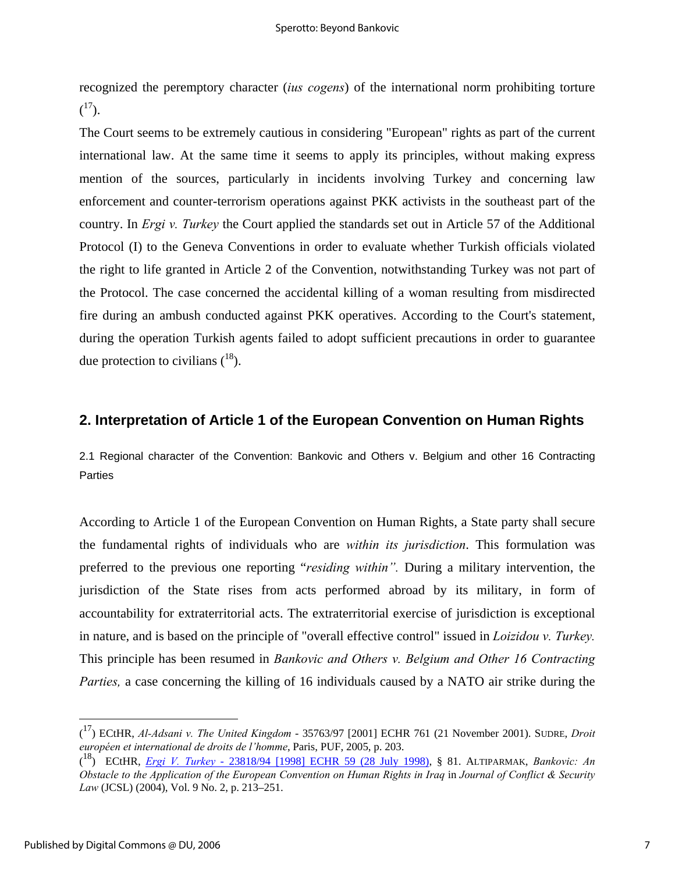recognized the peremptory character (*ius cogens*) of the international norm prohibiting torture  $\binom{17}{1}$ .

The Court seems to be extremely cautious in considering "European" rights as part of the current international law. At the same time it seems to apply its principles, without making express mention of the sources, particularly in incidents involving Turkey and concerning law enforcement and counter-terrorism operations against PKK activists in the southeast part of the country. In *Ergi v. Turkey* the Court applied the standards set out in Article 57 of the Additional Protocol (I) to the Geneva Conventions in order to evaluate whether Turkish officials violated the right to life granted in Article 2 of the Convention, notwithstanding Turkey was not part of the Protocol. The case concerned the accidental killing of a woman resulting from misdirected fire during an ambush conducted against PKK operatives. According to the Court's statement, during the operation Turkish agents failed to adopt sufficient precautions in order to guarantee due protection to civilians  $(^{18})$ .

### **2. Interpretation of Article 1 of the European Convention on Human Rights**

2.1 Regional character of the Convention: Bankovic and Others v. Belgium and other 16 Contracting **Parties** 

According to Article 1 of the European Convention on Human Rights, a State party shall secure the fundamental rights of individuals who are *within its jurisdiction*. This formulation was preferred to the previous one reporting "*residing within".* During a military intervention, the jurisdiction of the State rises from acts performed abroad by its military, in form of accountability for extraterritorial acts. The extraterritorial exercise of jurisdiction is exceptional in nature, and is based on the principle of "overall effective control" issued in *Loizidou v. Turkey.*  This principle has been resumed in *Bankovic and Others v. Belgium and Other 16 Contracting Parties,* a case concerning the killing of 16 individuals caused by a NATO air strike during the

<sup>(</sup> 17) ECtHR, *Al-Adsani v. The United Kingdom* - 35763/97 [2001] ECHR 761 (21 November 2001). SUDRE, *Droit européen et international de droits de l'homme*, Paris, PUF, 2005, p. 203.

<sup>(</sup> 18) ECtHR, *Ergi V. Turkey* - 23818/94 [1998] ECHR 59 (28 July 1998), § 81. ALTIPARMAK, *Bankovic: An Obstacle to the Application of the European Convention on Human Rights in Iraq* in *Journal of Conflict & Security Law* (JCSL) (2004), Vol. 9 No. 2, p. 213–251.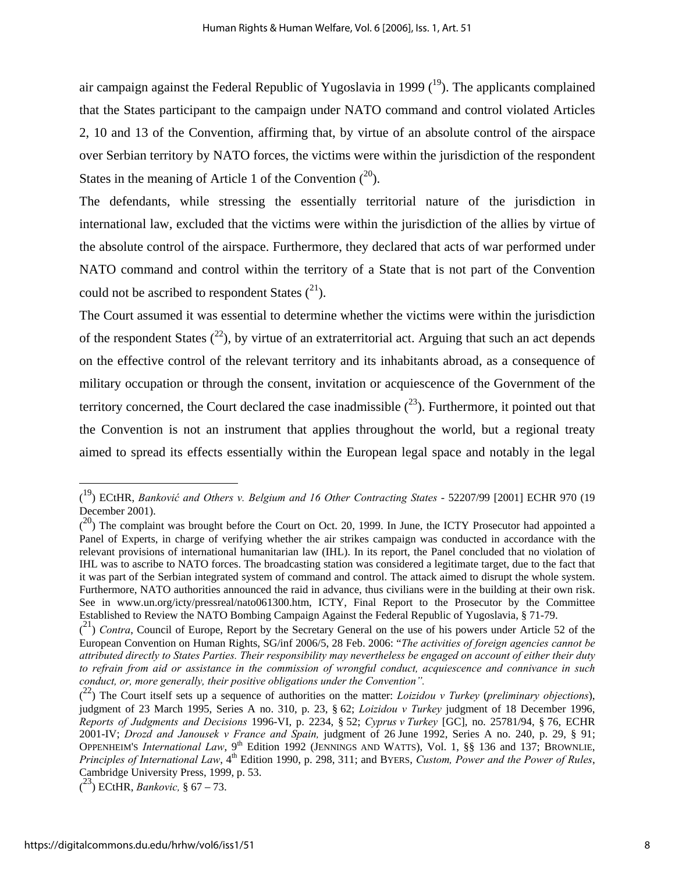air campaign against the Federal Republic of Yugoslavia in 1999  $(^{19})$ . The applicants complained that the States participant to the campaign under NATO command and control violated Articles 2, 10 and 13 of the Convention, affirming that, by virtue of an absolute control of the airspace over Serbian territory by NATO forces, the victims were within the jurisdiction of the respondent States in the meaning of Article 1 of the Convention  $(2^0)$ .

The defendants, while stressing the essentially territorial nature of the jurisdiction in international law, excluded that the victims were within the jurisdiction of the allies by virtue of the absolute control of the airspace. Furthermore, they declared that acts of war performed under NATO command and control within the territory of a State that is not part of the Convention could not be ascribed to respondent States  $(^{21})$ .

The Court assumed it was essential to determine whether the victims were within the jurisdiction of the respondent States  $(2^2)$ , by virtue of an extraterritorial act. Arguing that such an act depends on the effective control of the relevant territory and its inhabitants abroad, as a consequence of military occupation or through the consent, invitation or acquiescence of the Government of the territory concerned, the Court declared the case inadmissible  $(^{23})$ . Furthermore, it pointed out that the Convention is not an instrument that applies throughout the world, but a regional treaty aimed to spread its effects essentially within the European legal space and notably in the legal

<sup>(</sup> 19) ECtHR, *Banković and Others v. Belgium and 16 Other Contracting States* - 52207/99 [2001] ECHR 970 (19 December 2001).

 $(2^0)$  The complaint was brought before the Court on Oct. 20, 1999. In June, the ICTY Prosecutor had appointed a Panel of Experts, in charge of verifying whether the air strikes campaign was conducted in accordance with the relevant provisions of international humanitarian law (IHL). In its report, the Panel concluded that no violation of IHL was to ascribe to NATO forces. The broadcasting station was considered a legitimate target, due to the fact that it was part of the Serbian integrated system of command and control. The attack aimed to disrupt the whole system. Furthermore, NATO authorities announced the raid in advance, thus civilians were in the building at their own risk. See in www.un.org/icty/pressreal/nato061300.htm, ICTY, Final Report to the Prosecutor by the Committee Established to Review the NATO Bombing Campaign Against the Federal Republic of Yugoslavia, § 71-79.

<sup>&</sup>lt;sup>(21</sup>) *Contra*, Council of Europe, Report by the Secretary General on the use of his powers under Article 52 of the European Convention on Human Rights, SG/inf 2006/5, 28 Feb. 2006: "*The activities of foreign agencies cannot be attributed directly to States Parties. Their responsibility may nevertheless be engaged on account of either their duty to refrain from aid or assistance in the commission of wrongful conduct, acquiescence and connivance in such conduct, or, more generally, their positive obligations under the Convention".* 

<sup>(</sup> 22) The Court itself sets up a sequence of authorities on the matter: *Loizidou v Turkey* (*preliminary objections*), judgment of 23 March 1995, Series A no. 310, p. 23, § 62; *Loizidou v Turkey* judgment of 18 December 1996, *Reports of Judgments and Decisions* 1996-VI, p. 2234, § 52; *Cyprus v Turkey* [GC], no. 25781/94, § 76, ECHR 2001-IV; *Drozd and Janousek v France and Spain,* judgment of 26 June 1992, Series A no. 240, p. 29, § 91; OPPENHEIM'S *International Law*, 9<sup>th</sup> Edition 1992 (JENNINGS AND WATTS), Vol. 1, §§ 136 and 137; BROWNLIE, *Principles of International Law*, 4<sup>th</sup> Edition 1990, p. 298, 311; and BYERS, *Custom, Power and the Power of Rules*, Cambridge University Press, 1999, p. 53.

<sup>(</sup> 23) ECtHR, *Bankovic,* § 67 – 73.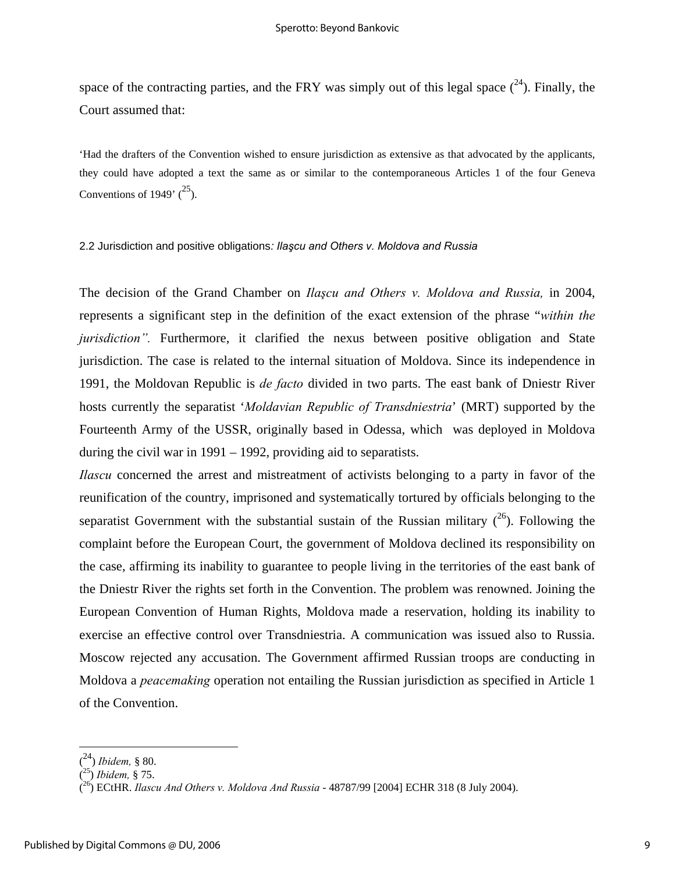space of the contracting parties, and the FRY was simply out of this legal space  $(24)$ . Finally, the Court assumed that:

'Had the drafters of the Convention wished to ensure jurisdiction as extensive as that advocated by the applicants, they could have adopted a text the same as or similar to the contemporaneous Articles 1 of the four Geneva Conventions of 1949'  $(^{25})$ .

#### 2.2 Jurisdiction and positive obligations*: Ilaşcu and Others v. Moldova and Russia*

The decision of the Grand Chamber on *Ilaşcu and Others v. Moldova and Russia,* in 2004, represents a significant step in the definition of the exact extension of the phrase "*within the jurisdiction*". Furthermore, it clarified the nexus between positive obligation and State jurisdiction. The case is related to the internal situation of Moldova. Since its independence in 1991, the Moldovan Republic is *de facto* divided in two parts. The east bank of Dniestr River hosts currently the separatist '*Moldavian Republic of Transdniestria*' (MRT) supported by the Fourteenth Army of the USSR, originally based in Odessa, which was deployed in Moldova during the civil war in 1991 – 1992, providing aid to separatists.

*Ilascu* concerned the arrest and mistreatment of activists belonging to a party in favor of the reunification of the country, imprisoned and systematically tortured by officials belonging to the separatist Government with the substantial sustain of the Russian military  $(2^6)$ . Following the complaint before the European Court, the government of Moldova declined its responsibility on the case, affirming its inability to guarantee to people living in the territories of the east bank of the Dniestr River the rights set forth in the Convention. The problem was renowned. Joining the European Convention of Human Rights, Moldova made a reservation, holding its inability to exercise an effective control over Transdniestria. A communication was issued also to Russia. Moscow rejected any accusation. The Government affirmed Russian troops are conducting in Moldova a *peacemaking* operation not entailing the Russian jurisdiction as specified in Article 1 of the Convention.

<sup>(</sup> 24) *Ibidem,* § 80.

<sup>(</sup> 25) *Ibidem,* § 75.

<sup>(</sup> 26) ECtHR. *Ilascu And Others v. Moldova And Russia* - 48787/99 [2004] ECHR 318 (8 July 2004).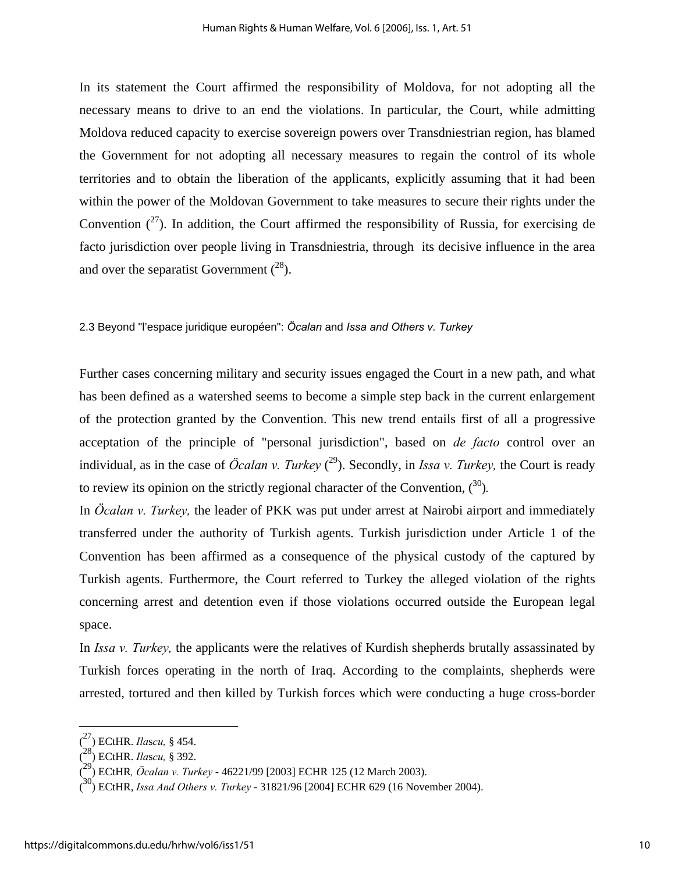In its statement the Court affirmed the responsibility of Moldova, for not adopting all the necessary means to drive to an end the violations. In particular, the Court, while admitting Moldova reduced capacity to exercise sovereign powers over Transdniestrian region, has blamed the Government for not adopting all necessary measures to regain the control of its whole territories and to obtain the liberation of the applicants, explicitly assuming that it had been within the power of the Moldovan Government to take measures to secure their rights under the Convention  $(2^7)$ . In addition, the Court affirmed the responsibility of Russia, for exercising de facto jurisdiction over people living in Transdniestria, through its decisive influence in the area and over the separatist Government  $(^{28})$ .

#### 2.3 Beyond "l'espace juridique européen": *Öcalan* and *Issa and Others v. Turkey*

Further cases concerning military and security issues engaged the Court in a new path, and what has been defined as a watershed seems to become a simple step back in the current enlargement of the protection granted by the Convention. This new trend entails first of all a progressive acceptation of the principle of "personal jurisdiction", based on *de facto* control over an individual, as in the case of *Öcalan v. Turkey* ( 29). Secondly, in *Issa v. Turkey,* the Court is ready to review its opinion on the strictly regional character of the Convention,  $(3^0)$ .

In *Öcalan v. Turkey,* the leader of PKK was put under arrest at Nairobi airport and immediately transferred under the authority of Turkish agents. Turkish jurisdiction under Article 1 of the Convention has been affirmed as a consequence of the physical custody of the captured by Turkish agents. Furthermore, the Court referred to Turkey the alleged violation of the rights concerning arrest and detention even if those violations occurred outside the European legal space.

In *Issa v. Turkey,* the applicants were the relatives of Kurdish shepherds brutally assassinated by Turkish forces operating in the north of Iraq. According to the complaints, shepherds were arrested, tortured and then killed by Turkish forces which were conducting a huge cross-border

<sup>(</sup> 27) ECtHR. *Ila*s*cu,* § 454.

<sup>(</sup> 28) ECtHR. *Ila*s*cu,* § 392.

<sup>(</sup> 29) ECtHR*, Öcalan v. Turkey* - 46221/99 [2003] ECHR 125 (12 March 2003).

<sup>(</sup> 30) ECtHR, *Issa And Others v. Turkey* - 31821/96 [2004] ECHR 629 (16 November 2004).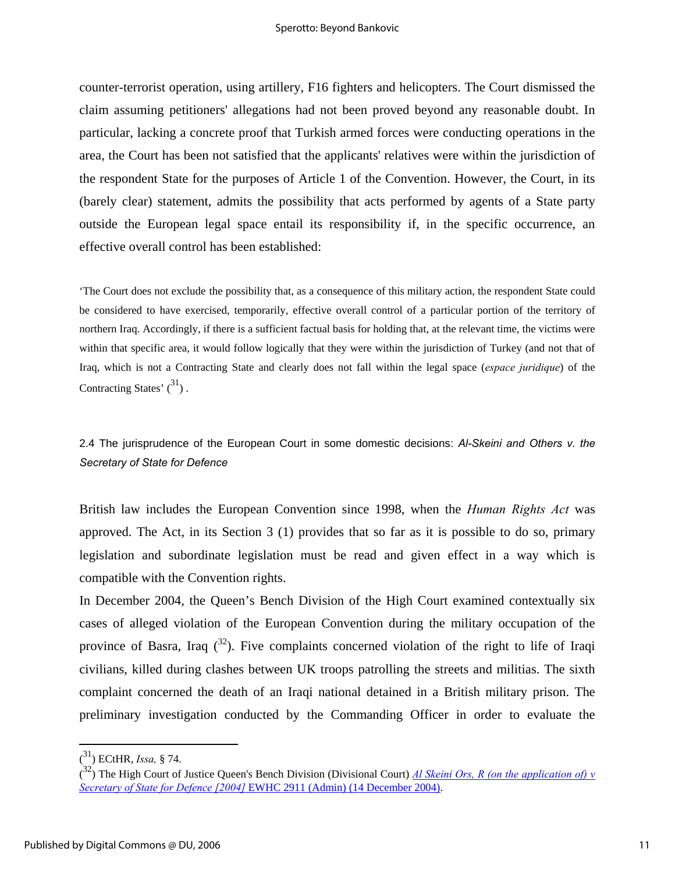counter-terrorist operation, using artillery, F16 fighters and helicopters. The Court dismissed the claim assuming petitioners' allegations had not been proved beyond any reasonable doubt. In particular, lacking a concrete proof that Turkish armed forces were conducting operations in the area, the Court has been not satisfied that the applicants' relatives were within the jurisdiction of the respondent State for the purposes of Article 1 of the Convention. However, the Court, in its (barely clear) statement, admits the possibility that acts performed by agents of a State party outside the European legal space entail its responsibility if, in the specific occurrence, an effective overall control has been established:

'The Court does not exclude the possibility that, as a consequence of this military action, the respondent State could be considered to have exercised, temporarily, effective overall control of a particular portion of the territory of northern Iraq. Accordingly, if there is a sufficient factual basis for holding that, at the relevant time, the victims were within that specific area, it would follow logically that they were within the jurisdiction of Turkey (and not that of Iraq, which is not a Contracting State and clearly does not fall within the legal space (*espace juridique*) of the Contracting States'  $\binom{31}{ }$ .

## 2.4 The jurisprudence of the European Court in some domestic decisions: *Al-Skeini and Others v. the Secretary of State for Defence*

British law includes the European Convention since 1998, when the *Human Rights Act* was approved. The Act, in its Section 3 (1) provides that so far as it is possible to do so, primary legislation and subordinate legislation must be read and given effect in a way which is compatible with the Convention rights.

In December 2004, the Queen's Bench Division of the High Court examined contextually six cases of alleged violation of the European Convention during the military occupation of the province of Basra, Iraq  $(3^2)$ . Five complaints concerned violation of the right to life of Iraqi civilians, killed during clashes between UK troops patrolling the streets and militias. The sixth complaint concerned the death of an Iraqi national detained in a British military prison. The preliminary investigation conducted by the Commanding Officer in order to evaluate the

<sup>(</sup> 31) ECtHR, *Issa,* § 74.

<sup>(</sup> 32) The High Court of Justice Queen's Bench Division (Divisional Court) *Al Skeini Ors, R (on the application of) v Secretary of State for Defence [2004]* EWHC 2911 (Admin) (14 December 2004).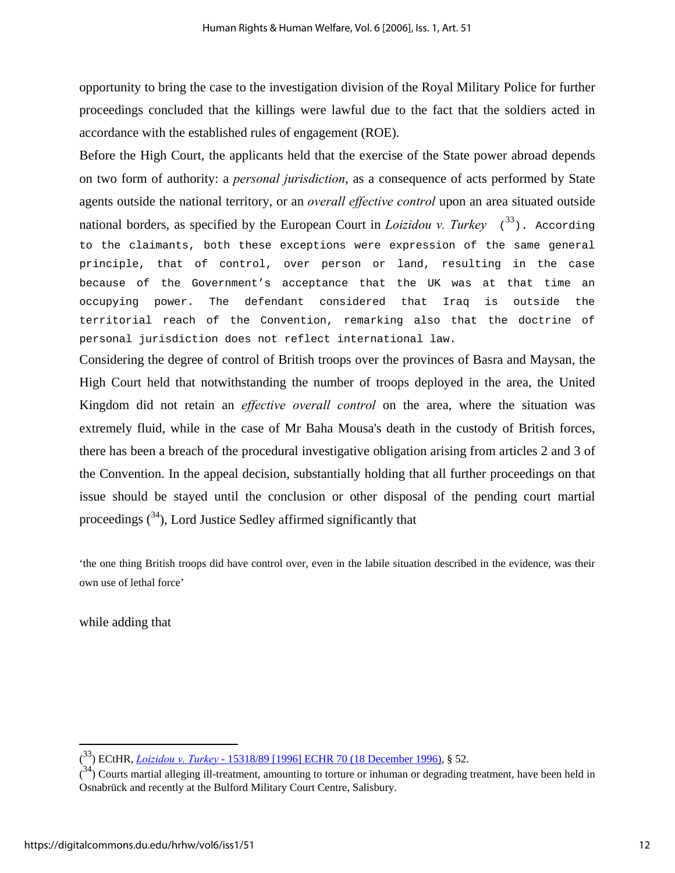opportunity to bring the case to the investigation division of the Royal Military Police for further proceedings concluded that the killings were lawful due to the fact that the soldiers acted in accordance with the established rules of engagement (ROE).

Before the High Court, the applicants held that the exercise of the State power abroad depends on two form of authority: a *personal jurisdiction*, as a consequence of acts performed by State agents outside the national territory, or an *overall effective control* upon an area situated outside national borders, as specified by the European Court in *Loizidou v. Turkey*  $(33)$ . According to the claimants, both these exceptions were expression of the same general principle, that of control, over person or land, resulting in the case because of the Government's acceptance that the UK was at that time an occupying power. The defendant considered that Iraq is outside the territorial reach of the Convention, remarking also that the doctrine of personal jurisdiction does not reflect international law.

Considering the degree of control of British troops over the provinces of Basra and Maysan, the High Court held that notwithstanding the number of troops deployed in the area, the United Kingdom did not retain an *effective overall control* on the area, where the situation was extremely fluid, while in the case of Mr Baha Mousa's death in the custody of British forces, there has been a breach of the procedural investigative obligation arising from articles 2 and 3 of the Convention. In the appeal decision, substantially holding that all further proceedings on that issue should be stayed until the conclusion or other disposal of the pending court martial proceedings  $(34)$ , Lord Justice Sedley affirmed significantly that

'the one thing British troops did have control over, even in the labile situation described in the evidence, was their own use of lethal force'

while adding that

<sup>(</sup> 33) ECtHR, *Loizidou v. Turkey* - 15318/89 [1996] ECHR 70 (18 December 1996), § 52.

 $(3<sup>4</sup>)$  Courts martial alleging ill-treatment, amounting to torture or inhuman or degrading treatment, have been held in Osnabrück and recently at the Bulford Military Court Centre, Salisbury.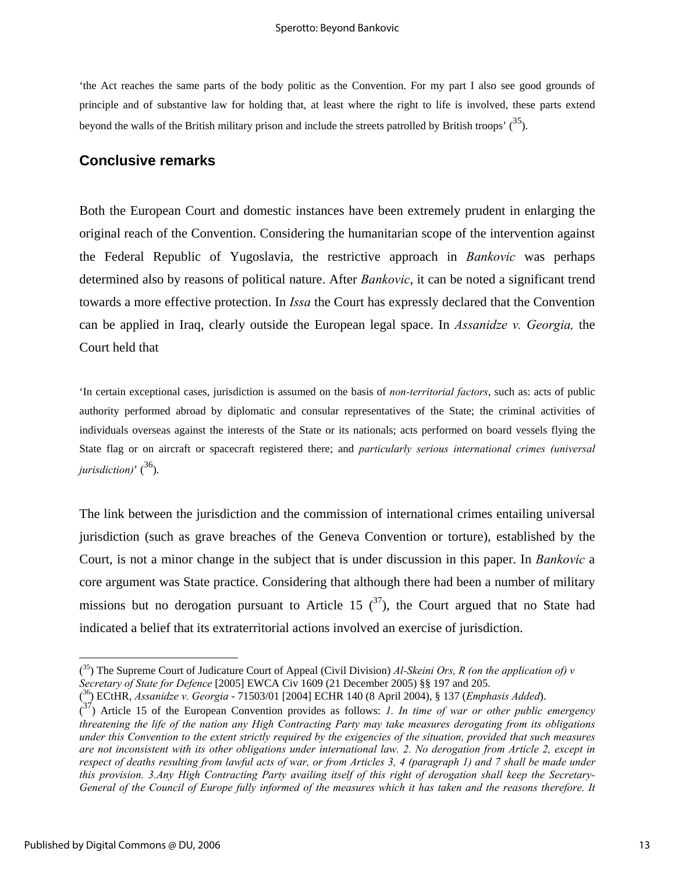'the Act reaches the same parts of the body politic as the Convention. For my part I also see good grounds of principle and of substantive law for holding that, at least where the right to life is involved, these parts extend beyond the walls of the British military prison and include the streets patrolled by British troops'  $(35)$ .

### **Conclusive remarks**

Both the European Court and domestic instances have been extremely prudent in enlarging the original reach of the Convention. Considering the humanitarian scope of the intervention against the Federal Republic of Yugoslavia, the restrictive approach in *Bankovic* was perhaps determined also by reasons of political nature. After *Bankovic*, it can be noted a significant trend towards a more effective protection. In *Issa* the Court has expressly declared that the Convention can be applied in Iraq, clearly outside the European legal space. In *Assanidze v. Georgia,* the Court held that

'In certain exceptional cases, jurisdiction is assumed on the basis of *non-territorial factors*, such as: acts of public authority performed abroad by diplomatic and consular representatives of the State; the criminal activities of individuals overseas against the interests of the State or its nationals; acts performed on board vessels flying the State flag or on aircraft or spacecraft registered there; and *particularly serious international crimes (universal jurisdiction*)<sup> $\frac{36}{36}$ .</sup>

The link between the jurisdiction and the commission of international crimes entailing universal jurisdiction (such as grave breaches of the Geneva Convention or torture), established by the Court, is not a minor change in the subject that is under discussion in this paper. In *Bankovic* a core argument was State practice. Considering that although there had been a number of military missions but no derogation pursuant to Article 15  $(37)$ , the Court argued that no State had indicated a belief that its extraterritorial actions involved an exercise of jurisdiction.

<sup>(</sup> 35) The Supreme Court of Judicature Court of Appeal (Civil Division) *Al-Skeini Ors, R (on the application of) v Secretary of State for Defence* [2005] EWCA Civ 1609 (21 December 2005) §§ 197 and 205.

<sup>(</sup> 36) ECtHR, *Assanidze v. Georgia* - 71503/01 [2004] ECHR 140 (8 April 2004), § 137 (*Emphasis Added*).

<sup>(</sup> 37) Article 15 of the European Convention provides as follows: *1. In time of war or other public emergency threatening the life of the nation any High Contracting Party may take measures derogating from its obligations under this Convention to the extent strictly required by the exigencies of the situation, provided that such measures are not inconsistent with its other obligations under international law. 2. No derogation from Article 2, except in respect of deaths resulting from lawful acts of war, or from Articles 3, 4 (paragraph 1) and 7 shall be made under this provision. 3.Any High Contracting Party availing itself of this right of derogation shall keep the Secretary-General of the Council of Europe fully informed of the measures which it has taken and the reasons therefore. It*